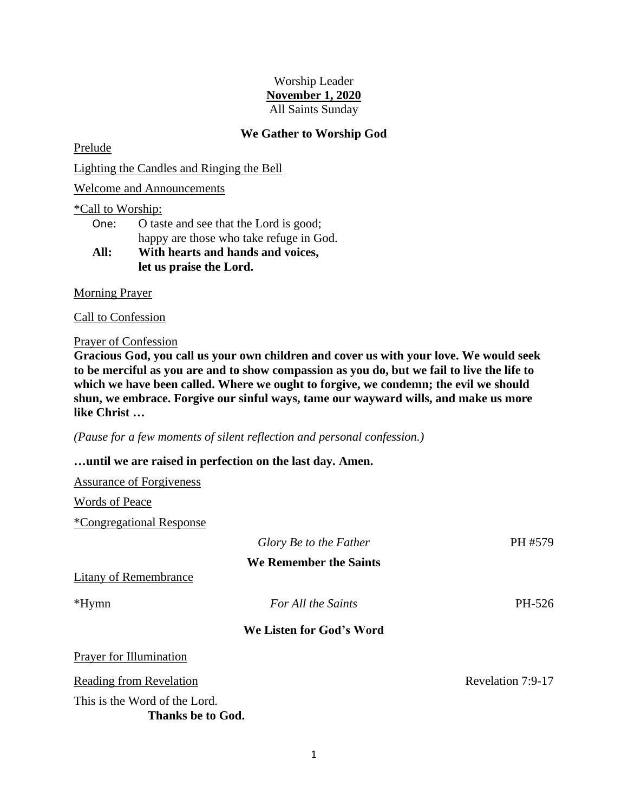# Worship Leader **November 1, 2020** All Saints Sunday

# **We Gather to Worship God**

Prelude

Lighting the Candles and Ringing the Bell

Welcome and Announcements

### \*Call to Worship:

| One: | O taste and see that the Lord is good;  |  |
|------|-----------------------------------------|--|
|      | happy are those who take refuge in God. |  |
|      |                                         |  |

# **All: With hearts and hands and voices, let us praise the Lord.**

Morning Prayer

Call to Confession

#### Prayer of Confession

**Gracious God, you call us your own children and cover us with your love. We would seek to be merciful as you are and to show compassion as you do, but we fail to live the life to which we have been called. Where we ought to forgive, we condemn; the evil we should shun, we embrace. Forgive our sinful ways, tame our wayward wills, and make us more like Christ …**

*(Pause for a few moments of silent reflection and personal confession.)*

## **…until we are raised in perfection on the last day. Amen.**

| <b>Assurance of Forgiveness</b>                    |                          |                   |
|----------------------------------------------------|--------------------------|-------------------|
| Words of Peace                                     |                          |                   |
| <i><b>*Congregational Response</b></i>             |                          |                   |
|                                                    | Glory Be to the Father   | PH #579           |
|                                                    | We Remember the Saints   |                   |
| Litany of Remembrance                              |                          |                   |
| $*Hymn$                                            | For All the Saints       | PH-526            |
|                                                    | We Listen for God's Word |                   |
| Prayer for Illumination                            |                          |                   |
| Reading from Revelation                            |                          | Revelation 7:9-17 |
| This is the Word of the Lord.<br>Thanks be to God. |                          |                   |

1